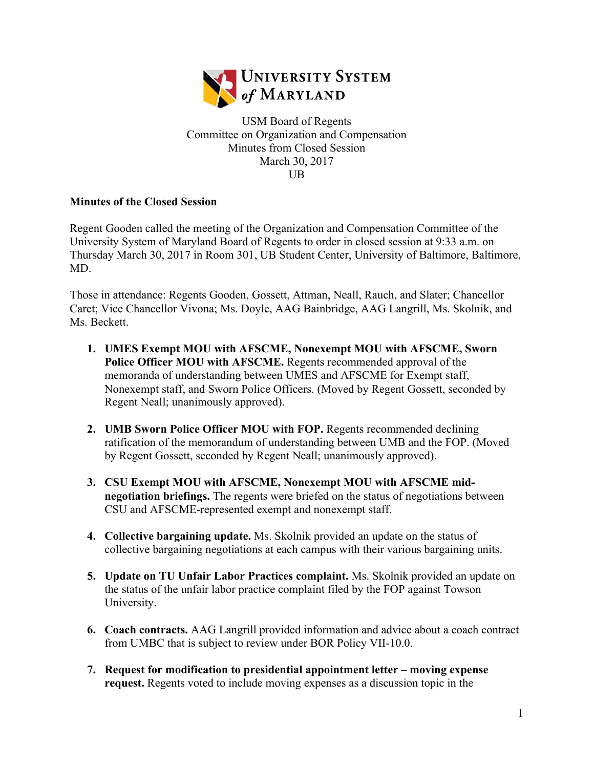

USM Board of Regents Committee on Organization and Compensation Minutes from Closed Session March 30, 2017 UB

## **Minutes of the Closed Session**

Regent Gooden called the meeting of the Organization and Compensation Committee of the University System of Maryland Board of Regents to order in closed session at 9:33 a.m. on Thursday March 30, 2017 in Room 301, UB Student Center, University of Baltimore, Baltimore, MD.

Those in attendance: Regents Gooden, Gossett, Attman, Neall, Rauch, and Slater; Chancellor Caret; Vice Chancellor Vivona; Ms. Doyle, AAG Bainbridge, AAG Langrill, Ms. Skolnik, and Ms. Beckett.

- **1. UMES Exempt MOU with AFSCME, Nonexempt MOU with AFSCME, Sworn Police Officer MOU with AFSCME.** Regents recommended approval of the memoranda of understanding between UMES and AFSCME for Exempt staff, Nonexempt staff, and Sworn Police Officers. (Moved by Regent Gossett, seconded by Regent Neall; unanimously approved).
- **2. UMB Sworn Police Officer MOU with FOP.** Regents recommended declining ratification of the memorandum of understanding between UMB and the FOP. (Moved by Regent Gossett, seconded by Regent Neall; unanimously approved).
- **3. CSU Exempt MOU with AFSCME, Nonexempt MOU with AFSCME midnegotiation briefings.** The regents were briefed on the status of negotiations between CSU and AFSCME-represented exempt and nonexempt staff.
- **4. Collective bargaining update.** Ms. Skolnik provided an update on the status of collective bargaining negotiations at each campus with their various bargaining units.
- **5. Update on TU Unfair Labor Practices complaint.** Ms. Skolnik provided an update on the status of the unfair labor practice complaint filed by the FOP against Towson University.
- **6. Coach contracts.** AAG Langrill provided information and advice about a coach contract from UMBC that is subject to review under BOR Policy VII-10.0.
- **7. Request for modification to presidential appointment letter – moving expense request.** Regents voted to include moving expenses as a discussion topic in the